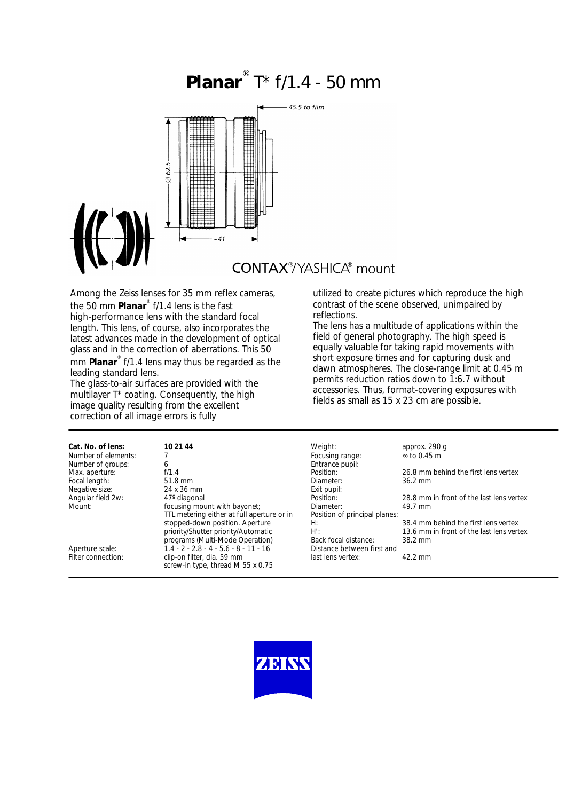# **Planar** ® T\* f/1.4 - 50 mm



**CONTAX®YASHICA®** mount

Among the Zeiss lenses for 35 mm reflex cameras, the 50 mm **Planar**® f/1.4 lens is the fast high-performance lens with the standard focal length. This lens, of course, also incorporates the latest advances made in the development of optical glass and in the correction of aberrations. This 50 mm **Planar**® f/1.4 lens may thus be regarded as the leading standard lens.

The glass-to-air surfaces are provided with the multilayer T<sup>\*</sup> coating. Consequently, the high image quality resulting from the excellent correction of all image errors is fully

#### utilized to create pictures which reproduce the high contrast of the scene observed, unimpaired by reflections.

The lens has a multitude of applications within the field of general photography. The high speed is equally valuable for taking rapid movements with short exposure times and for capturing dusk and dawn atmospheres. The close-range limit at 0.45 m permits reduction ratios down to 1:6.7 without accessories. Thus, format-covering exposures with fields as small as 15 x 23 cm are possible.

| Cat. No. of lens:   | 10 21 44                                                        | Weight:                       | approx. 290 q                            |
|---------------------|-----------------------------------------------------------------|-------------------------------|------------------------------------------|
| Number of elements: |                                                                 | Focusing range:               | $\approx$ to 0.45 m                      |
| Number of groups:   | 6                                                               | Entrance pupil:               |                                          |
| Max. aperture:      | f/1.4                                                           | Position:                     | 26.8 mm behind the first lens vertex     |
| Focal length:       | 51.8 mm                                                         | Diameter:                     | 36.2 mm                                  |
| Negative size:      | 24 x 36 mm                                                      | Exit pupil:                   |                                          |
| Angular field 2w:   | 47° diagonal                                                    | Position:                     | 28.8 mm in front of the last lens vertex |
| Mount:              | focusing mount with bayonet;                                    | Diameter:                     | 49.7 mm                                  |
|                     | TTL metering either at full aperture or in                      | Position of principal planes: |                                          |
|                     | stopped-down position. Aperture                                 | H:                            | 38.4 mm behind the first lens vertex     |
|                     | priority/Shutter priority/Automatic                             | $H^{\prime}$ :                | 13.6 mm in front of the last lens vertex |
|                     | programs (Multi-Mode Operation)                                 | Back focal distance:          | $38.2$ mm                                |
| Aperture scale:     | $1.4 - 2 - 2.8 - 4 - 5.6 - 8 - 11 - 16$                         | Distance between first and    |                                          |
| Filter connection:  | clip-on filter, dia. 59 mm<br>screw-in type, thread M 55 x 0.75 | last lens vertex:             | $42.2$ mm                                |

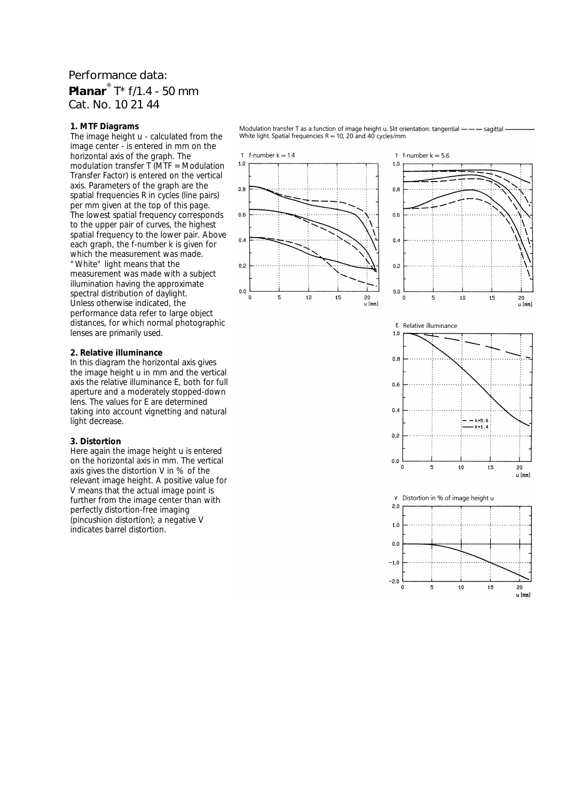## Performance data: **Planar**® T\* f/1.4 - 50 mm Cat. No. 10 21 44

### **1. MTF Diagrams**

The image height u - calculated from the image center - is entered in mm on the horizontal axis of the graph. The modulation transfer T (MTF = Modulation Transfer Factor) is entered on the vertical axis. Parameters of the graph are the spatial frequencies R in cycles (line pairs) per mm given at the top of this page. The lowest spatial frequency corresponds to the upper pair of curves, the highest spatial frequency to the lower pair. Above each graph, the f-number k is given for which the measurement was made. "White" light means that the measurement was made with a subject illumination having the approximate spectral distribution of daylight. Unless otherwise indicated, the performance data refer to large object distances, for which normal photographic lenses are primarily used.

#### **2. Relative illuminance**

In this diagram the horizontal axis gives the image height u in mm and the vertical axis the relative illuminance E, both for full aperture and a moderately stopped-down lens. The values for E are determined taking into account vignetting and natural light decrease.

#### **3. Distortion**

Here again the image height u is entered on the horizontal axis in mm. The vertical axis gives the distortion V in % of the relevant image height. A positive value for V means that the actual image point is further from the image center than with perfectly distortion-free imaging (pincushion distortion); a negative V indicates barrel distortion.

Modulation transfer T as a function of image height u. Slit orientation: tangential ——— sagittal White light. Spatial frequencies  $R = 10$ , 20 and 40 cycles/mm